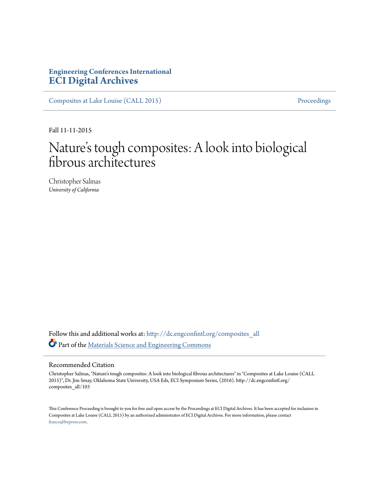## **Engineering Conferences International [ECI Digital Archives](http://dc.engconfintl.org?utm_source=dc.engconfintl.org%2Fcomposites_all%2F103&utm_medium=PDF&utm_campaign=PDFCoverPages)**

[Composites at Lake Louise \(CALL 2015\)](http://dc.engconfintl.org/composites_all?utm_source=dc.engconfintl.org%2Fcomposites_all%2F103&utm_medium=PDF&utm_campaign=PDFCoverPages) [Proceedings](http://dc.engconfintl.org/proceedings?utm_source=dc.engconfintl.org%2Fcomposites_all%2F103&utm_medium=PDF&utm_campaign=PDFCoverPages)

Fall 11-11-2015

## Nature 's tough composites: A look into biological fibrous architectures

Christopher Salinas *University of California*

Follow this and additional works at: [http://dc.engconfintl.org/composites\\_all](http://dc.engconfintl.org/composites_all?utm_source=dc.engconfintl.org%2Fcomposites_all%2F103&utm_medium=PDF&utm_campaign=PDFCoverPages) Part of the [Materials Science and Engineering Commons](http://network.bepress.com/hgg/discipline/285?utm_source=dc.engconfintl.org%2Fcomposites_all%2F103&utm_medium=PDF&utm_campaign=PDFCoverPages)

## Recommended Citation

Christopher Salinas, "Nature's tough composites: A look into biological fibrous architectures" in "Composites at Lake Louise (CALL 2015)", Dr. Jim Smay, Oklahoma State University, USA Eds, ECI Symposium Series, (2016). http://dc.engconfintl.org/ composites\_all/103

This Conference Proceeding is brought to you for free and open access by the Proceedings at ECI Digital Archives. It has been accepted for inclusion in Composites at Lake Louise (CALL 2015) by an authorized administrator of ECI Digital Archives. For more information, please contact [franco@bepress.com.](mailto:franco@bepress.com)